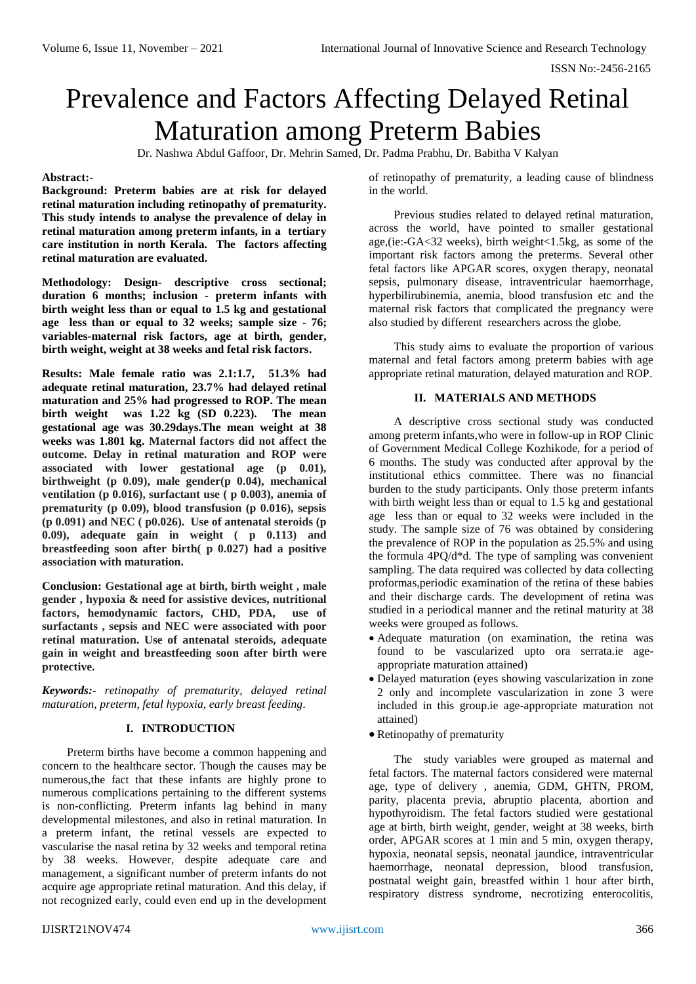# Prevalence and Factors Affecting Delayed Retinal Maturation among Preterm Babies

Dr. Nashwa Abdul Gaffoor, Dr. Mehrin Samed, Dr. Padma Prabhu, Dr. Babitha V Kalyan

## **Abstract:-**

**Background: Preterm babies are at risk for delayed retinal maturation including retinopathy of prematurity. This study intends to analyse the prevalence of delay in retinal maturation among preterm infants, in a tertiary care institution in north Kerala. The factors affecting retinal maturation are evaluated.**

**Methodology: Design- descriptive cross sectional; duration 6 months; inclusion - preterm infants with birth weight less than or equal to 1.5 kg and gestational age less than or equal to 32 weeks; sample size - 76; variables-maternal risk factors, age at birth, gender, birth weight, weight at 38 weeks and fetal risk factors.**

**Results: Male female ratio was 2.1:1.7, 51.3% had adequate retinal maturation, 23.7% had delayed retinal maturation and 25% had progressed to ROP. The mean birth weight was 1.22 kg (SD 0.223). The mean gestational age was 30.29days.The mean weight at 38 weeks was 1.801 kg. Maternal factors did not affect the outcome. Delay in retinal maturation and ROP were associated with lower gestational age (p 0.01), birthweight (p 0.09), male gender(p 0.04), mechanical ventilation (p 0.016), surfactant use ( p 0.003), anemia of prematurity (p 0.09), blood transfusion (p 0.016), sepsis (p 0.091) and NEC ( p0.026). Use of antenatal steroids (p 0.09), adequate gain in weight ( p 0.113) and breastfeeding soon after birth( p 0.027) had a positive association with maturation.**

**Conclusion: Gestational age at birth, birth weight , male gender , hypoxia & need for assistive devices, nutritional factors, hemodynamic factors, CHD, PDA, use of surfactants , sepsis and NEC were associated with poor retinal maturation. Use of antenatal steroids, adequate gain in weight and breastfeeding soon after birth were protective.** 

*Keywords:- retinopathy of prematurity, delayed retinal maturation, preterm, fetal hypoxia, early breast feeding.*

## **I. INTRODUCTION**

Preterm births have become a common happening and concern to the healthcare sector. Though the causes may be numerous,the fact that these infants are highly prone to numerous complications pertaining to the different systems is non-conflicting. Preterm infants lag behind in many developmental milestones, and also in retinal maturation. In a preterm infant, the retinal vessels are expected to vascularise the nasal retina by 32 weeks and temporal retina by 38 weeks. However, despite adequate care and management, a significant number of preterm infants do not acquire age appropriate retinal maturation. And this delay, if not recognized early, could even end up in the development

of retinopathy of prematurity, a leading cause of blindness in the world.

Previous studies related to delayed retinal maturation, across the world, have pointed to smaller gestational age,(ie:-GA<32 weeks), birth weight<1.5kg, as some of the important risk factors among the preterms. Several other fetal factors like APGAR scores, oxygen therapy, neonatal sepsis, pulmonary disease, intraventricular haemorrhage, hyperbilirubinemia, anemia, blood transfusion etc and the maternal risk factors that complicated the pregnancy were also studied by different researchers across the globe.

This study aims to evaluate the proportion of various maternal and fetal factors among preterm babies with age appropriate retinal maturation, delayed maturation and ROP.

#### **II. MATERIALS AND METHODS**

A descriptive cross sectional study was conducted among preterm infants,who were in follow-up in ROP Clinic of Government Medical College Kozhikode, for a period of 6 months. The study was conducted after approval by the institutional ethics committee. There was no financial burden to the study participants. Only those preterm infants with birth weight less than or equal to 1.5 kg and gestational age less than or equal to 32 weeks were included in the study. The sample size of 76 was obtained by considering the prevalence of ROP in the population as 25.5% and using the formula 4PQ/d\*d. The type of sampling was convenient sampling. The data required was collected by data collecting proformas,periodic examination of the retina of these babies and their discharge cards. The development of retina was studied in a periodical manner and the retinal maturity at 38 weeks were grouped as follows.

- Adequate maturation (on examination, the retina was found to be vascularized upto ora serrata.ie ageappropriate maturation attained)
- Delayed maturation (eyes showing vascularization in zone 2 only and incomplete vascularization in zone 3 were included in this group.ie age-appropriate maturation not attained)
- Retinopathy of prematurity

The study variables were grouped as maternal and fetal factors. The maternal factors considered were maternal age, type of delivery , anemia, GDM, GHTN, PROM, parity, placenta previa, abruptio placenta, abortion and hypothyroidism. The fetal factors studied were gestational age at birth, birth weight, gender, weight at 38 weeks, birth order, APGAR scores at 1 min and 5 min, oxygen therapy, hypoxia, neonatal sepsis, neonatal jaundice, intraventricular haemorrhage, neonatal depression, blood transfusion, postnatal weight gain, breastfed within 1 hour after birth, respiratory distress syndrome, necrotizing enterocolitis,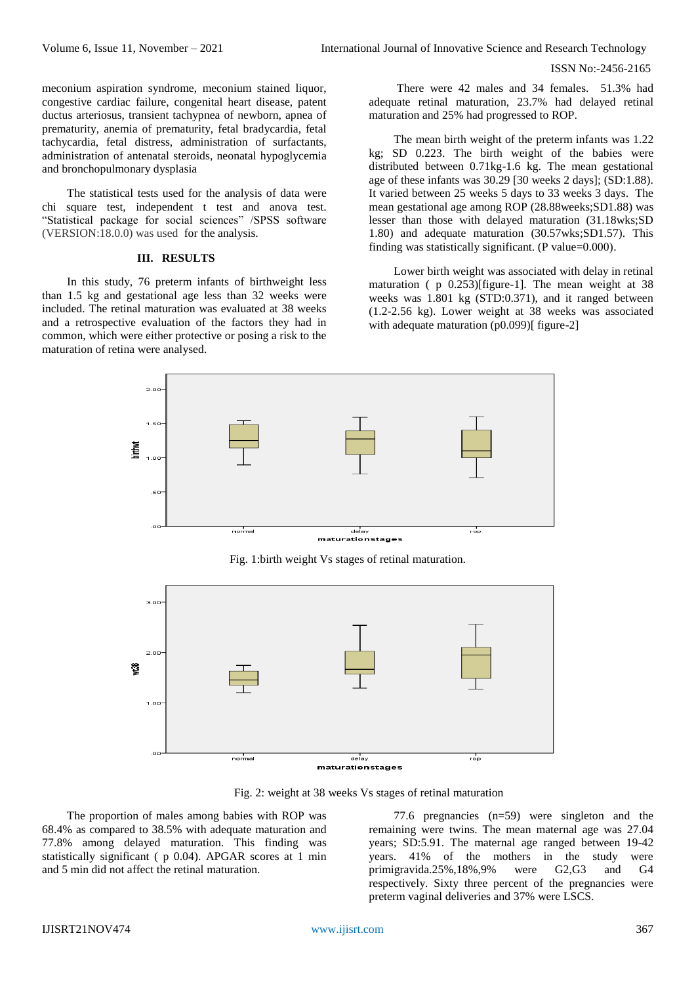meconium aspiration syndrome, meconium stained liquor, congestive cardiac failure, congenital heart disease, patent ductus arteriosus, transient tachypnea of newborn, apnea of prematurity, anemia of prematurity, fetal bradycardia, fetal tachycardia, fetal distress, administration of surfactants, administration of antenatal steroids, neonatal hypoglycemia and bronchopulmonary dysplasia

The statistical tests used for the analysis of data were chi square test, independent t test and anova test. "Statistical package for social sciences" /SPSS software (VERSION:18.0.0) was used for the analysis.

## **III. RESULTS**

In this study, 76 preterm infants of birthweight less than 1.5 kg and gestational age less than 32 weeks were included. The retinal maturation was evaluated at 38 weeks and a retrospective evaluation of the factors they had in common, which were either protective or posing a risk to the maturation of retina were analysed.

There were 42 males and 34 females. 51.3% had adequate retinal maturation, 23.7% had delayed retinal maturation and 25% had progressed to ROP.

The mean birth weight of the preterm infants was 1.22 kg; SD 0.223. The birth weight of the babies were distributed between 0.71kg-1.6 kg. The mean gestational age of these infants was 30.29 [30 weeks 2 days]; (SD:1.88). It varied between 25 weeks 5 days to 33 weeks 3 days. The mean gestational age among ROP (28.88weeks;SD1.88) was lesser than those with delayed maturation (31.18wks;SD 1.80) and adequate maturation (30.57wks;SD1.57). This finding was statistically significant. (P value=0.000).

Lower birth weight was associated with delay in retinal maturation ( p 0.253)[figure-1]. The mean weight at 38 weeks was 1.801 kg (STD:0.371), and it ranged between (1.2-2.56 kg). Lower weight at 38 weeks was associated with adequate maturation (p0.099)[ figure-2]



Fig. 1:birth weight Vs stages of retinal maturation.



Fig. 2: weight at 38 weeks Vs stages of retinal maturation

The proportion of males among babies with ROP was 68.4% as compared to 38.5% with adequate maturation and 77.8% among delayed maturation. This finding was statistically significant ( p 0.04). APGAR scores at 1 min and 5 min did not affect the retinal maturation.

77.6 pregnancies (n=59) were singleton and the remaining were twins. The mean maternal age was 27.04 years; SD:5.91. The maternal age ranged between 19-42 years. 41% of the mothers in the study were primigravida.25%,18%,9% were G2,G3 and G4 respectively. Sixty three percent of the pregnancies were preterm vaginal deliveries and 37% were LSCS.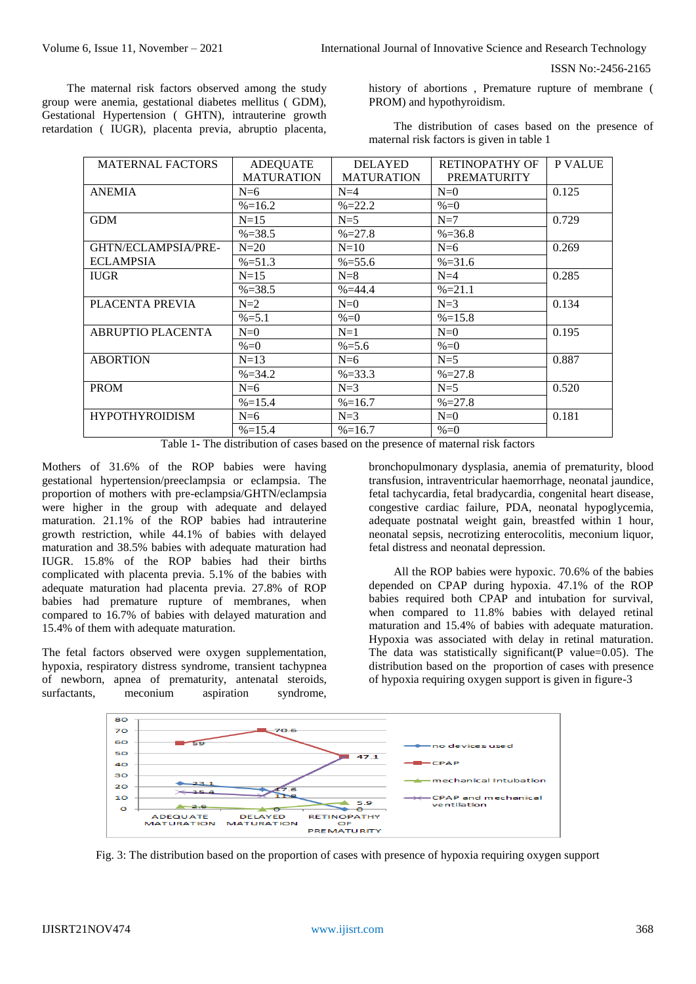The maternal risk factors observed among the study group were anemia, gestational diabetes mellitus ( GDM), Gestational Hypertension ( GHTN), intrauterine growth retardation ( IUGR), placenta previa, abruptio placenta, history of abortions , Premature rupture of membrane ( PROM) and hypothyroidism.

The distribution of cases based on the presence of maternal risk factors is given in table 1

| <b>MATERNAL FACTORS</b> | ADEQUATE          | <b>DELAYED</b>    | RETINOPATHY OF     | P VALUE |
|-------------------------|-------------------|-------------------|--------------------|---------|
|                         | <b>MATURATION</b> | <b>MATURATION</b> | <b>PREMATURITY</b> |         |
| <b>ANEMIA</b>           | $N=6$             | $N=4$             | $N=0$              | 0.125   |
|                         | $\% = 16.2$       | $\% = 22.2$       | $% = 0$            |         |
| <b>GDM</b>              | $N=15$            | $N=5$             | $N=7$              | 0.729   |
|                         | $\% = 38.5$       | $\% = 27.8$       | $\% = 36.8$        |         |
| GHTN/ECLAMPSIA/PRE-     | $N=20$            | $N=10$            | $N=6$              | 0.269   |
| <b>ECLAMPSIA</b>        | $\% = 51.3$       | $\% = 55.6$       | $% = 31.6$         |         |
| <b>IUGR</b>             | $N=15$            | $N=8$             | $N=4$              | 0.285   |
|                         | $\% = 38.5$       | $% = 44.4$        | $% = 21.1$         |         |
| PLACENTA PREVIA         | $N=2$             | $N=0$             | $N=3$              | 0.134   |
|                         | $\% = 5.1$        | $% = 0$           | $\% = 15.8$        |         |
| ABRUPTIO PLACENTA       | $N=0$             | $N=1$             | $N=0$              | 0.195   |
|                         | $% = 0$           | $\% = 5.6$        | $% = 0$            |         |
| <b>ABORTION</b>         | $N=13$            | $N=6$             | $N=5$              | 0.887   |
|                         | $\% = 34.2$       | $\% = 33.3$       | $\% = 27.8$        |         |
| <b>PROM</b>             | $N=6$             | $N=3$             | $N=5$              | 0.520   |
|                         | $\% = 15.4$       | $\% = 16.7$       | $\% = 27.8$        |         |
| <b>HYPOTHYROIDISM</b>   | $N=6$             | $N=3$             | $N=0$              | 0.181   |
|                         | $\% = 15.4$       | $\% = 16.7$       | $% = 0$            |         |

Table 1**-** The distribution of cases based on the presence of maternal risk factors

Mothers of 31.6% of the ROP babies were having gestational hypertension/preeclampsia or eclampsia. The proportion of mothers with pre-eclampsia/GHTN/eclampsia were higher in the group with adequate and delayed maturation. 21.1% of the ROP babies had intrauterine growth restriction, while 44.1% of babies with delayed maturation and 38.5% babies with adequate maturation had IUGR. 15.8% of the ROP babies had their births complicated with placenta previa. 5.1% of the babies with adequate maturation had placenta previa. 27.8% of ROP babies had premature rupture of membranes, when compared to 16.7% of babies with delayed maturation and 15.4% of them with adequate maturation.

The fetal factors observed were oxygen supplementation, hypoxia, respiratory distress syndrome, transient tachypnea of newborn, apnea of prematurity, antenatal steroids, surfactants, meconium aspiration syndrome, bronchopulmonary dysplasia, anemia of prematurity, blood transfusion, intraventricular haemorrhage, neonatal jaundice, fetal tachycardia, fetal bradycardia, congenital heart disease, congestive cardiac failure, PDA, neonatal hypoglycemia, adequate postnatal weight gain, breastfed within 1 hour, neonatal sepsis, necrotizing enterocolitis, meconium liquor, fetal distress and neonatal depression.

All the ROP babies were hypoxic. 70.6% of the babies depended on CPAP during hypoxia. 47.1% of the ROP babies required both CPAP and intubation for survival, when compared to 11.8% babies with delayed retinal maturation and 15.4% of babies with adequate maturation. Hypoxia was associated with delay in retinal maturation. The data was statistically significant(P value=0.05). The distribution based on the proportion of cases with presence of hypoxia requiring oxygen support is given in figure-3



Fig. 3: The distribution based on the proportion of cases with presence of hypoxia requiring oxygen support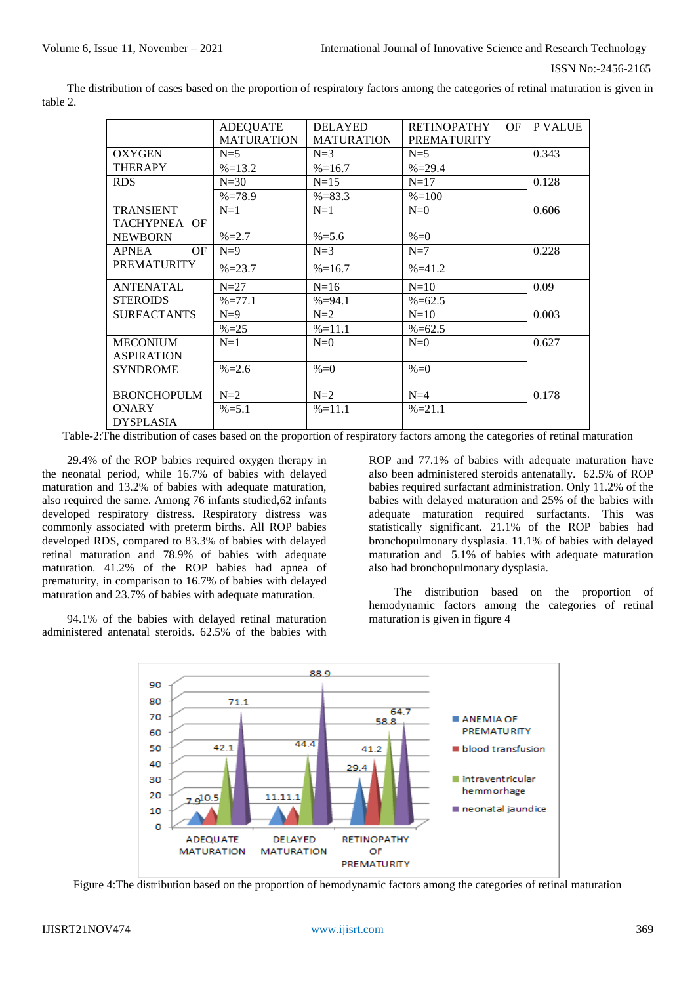The distribution of cases based on the proportion of respiratory factors among the categories of retinal maturation is given in table 2.

|                           | <b>ADEQUATE</b>   | <b>DELAYED</b>    | <b>RETINOPATHY</b><br>OF. | <b>P VALUE</b> |
|---------------------------|-------------------|-------------------|---------------------------|----------------|
|                           | <b>MATURATION</b> | <b>MATURATION</b> | <b>PREMATURITY</b>        |                |
| <b>OXYGEN</b>             | $N=5$             | $N=3$             | $N=5$                     | 0.343          |
| <b>THERAPY</b>            | $\% = 13.2$       | $\% = 16.7$       | $\% = 29.4$               |                |
| <b>RDS</b>                | $N=30$            | $N=15$            | $N=17$                    | 0.128          |
|                           | $\% = 78.9$       | $\% = 83.3$       | $\% = 100$                |                |
| <b>TRANSIENT</b>          | $N=1$             | $N=1$             | $N=0$                     | 0.606          |
| TACHYPNEA OF              |                   |                   |                           |                |
| <b>NEWBORN</b>            | $\% = 2.7$        | $\% = 5.6$        | $% = 0$                   |                |
| <b>APNEA</b><br><b>OF</b> | $N=9$             | $N=3$             | $N=7$                     | 0.228          |
| <b>PREMATURITY</b>        | $\% = 23.7$       | $\% = 16.7$       | $% = 41.2$                |                |
| <b>ANTENATAL</b>          | $N=27$            | $N=16$            | $N=10$                    | 0.09           |
| <b>STEROIDS</b>           | $% = 77.1$        | $% = 94.1$        | $\% = 62.5$               |                |
| <b>SURFACTANTS</b>        | $N=9$             | $N=2$             | $N=10$                    | 0.003          |
|                           | $\% = 25$         | $\% = 11.1$       | $\% = 62.5$               |                |
| <b>MECONIUM</b>           | $N=1$             | $N=0$             | $N=0$                     | 0.627          |
| <b>ASPIRATION</b>         |                   |                   |                           |                |
| <b>SYNDROME</b>           | $\% = 2.6$        | $% = 0$           | $% = 0$                   |                |
|                           |                   |                   |                           |                |
| <b>BRONCHOPULM</b>        | $N=2$             | $N=2$             | $N=4$                     | 0.178          |
| <b>ONARY</b>              | $\% = 5.1$        | $%=11.1$          | $% = 21.1$                |                |
| <b>DYSPLASIA</b>          |                   |                   |                           |                |

Table-2:The distribution of cases based on the proportion of respiratory factors among the categories of retinal maturation

29.4% of the ROP babies required oxygen therapy in the neonatal period, while 16.7% of babies with delayed maturation and 13.2% of babies with adequate maturation, also required the same. Among 76 infants studied,62 infants developed respiratory distress. Respiratory distress was commonly associated with preterm births. All ROP babies developed RDS, compared to 83.3% of babies with delayed retinal maturation and 78.9% of babies with adequate maturation. 41.2% of the ROP babies had apnea of prematurity, in comparison to 16.7% of babies with delayed maturation and 23.7% of babies with adequate maturation.

94.1% of the babies with delayed retinal maturation administered antenatal steroids. 62.5% of the babies with ROP and 77.1% of babies with adequate maturation have also been administered steroids antenatally. 62.5% of ROP babies required surfactant administration. Only 11.2% of the babies with delayed maturation and 25% of the babies with adequate maturation required surfactants. This was statistically significant. 21.1% of the ROP babies had bronchopulmonary dysplasia. 11.1% of babies with delayed maturation and 5.1% of babies with adequate maturation also had bronchopulmonary dysplasia.

The distribution based on the proportion of hemodynamic factors among the categories of retinal maturation is given in figure 4



Figure 4:The distribution based on the proportion of hemodynamic factors among the categories of retinal maturation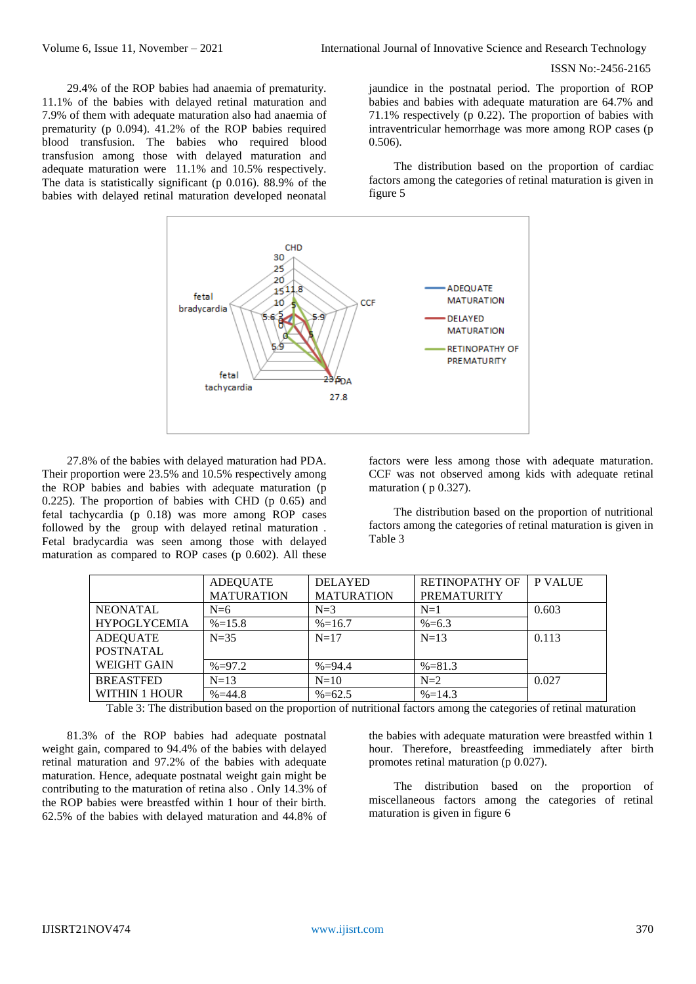29.4% of the ROP babies had anaemia of prematurity. 11.1% of the babies with delayed retinal maturation and 7.9% of them with adequate maturation also had anaemia of prematurity (p 0.094). 41.2% of the ROP babies required blood transfusion. The babies who required blood transfusion among those with delayed maturation and adequate maturation were 11.1% and 10.5% respectively. The data is statistically significant (p 0.016). 88.9% of the babies with delayed retinal maturation developed neonatal

jaundice in the postnatal period. The proportion of ROP babies and babies with adequate maturation are 64.7% and 71.1% respectively (p 0.22). The proportion of babies with intraventricular hemorrhage was more among ROP cases (p 0.506).

The distribution based on the proportion of cardiac factors among the categories of retinal maturation is given in figure 5



27.8% of the babies with delayed maturation had PDA. Their proportion were 23.5% and 10.5% respectively among the ROP babies and babies with adequate maturation (p 0.225). The proportion of babies with CHD (p 0.65) and fetal tachycardia (p 0.18) was more among ROP cases followed by the group with delayed retinal maturation . Fetal bradycardia was seen among those with delayed maturation as compared to ROP cases (p 0.602). All these

factors were less among those with adequate maturation. CCF was not observed among kids with adequate retinal maturation ( p 0.327).

The distribution based on the proportion of nutritional factors among the categories of retinal maturation is given in Table 3

|                      | <b>ADEQUATE</b>   | <b>DELAYED</b>    | <b>RETINOPATHY OF</b> | <b>P VALUE</b> |
|----------------------|-------------------|-------------------|-----------------------|----------------|
|                      | <b>MATURATION</b> | <b>MATURATION</b> | <b>PREMATURITY</b>    |                |
| <b>NEONATAL</b>      | $N=6$             | $N=3$             | $N=1$                 | 0.603          |
| <b>HYPOGLYCEMIA</b>  | $\% = 15.8$       | $\% = 16.7$       | $% = 6.3$             |                |
| <b>ADEQUATE</b>      | $N=35$            | $N=17$            | $N=13$                | 0.113          |
| <b>POSTNATAL</b>     |                   |                   |                       |                |
| <b>WEIGHT GAIN</b>   | $% = 97.2$        | $% = 94.4$        | $% = 81.3$            |                |
| <b>BREASTFED</b>     | $N=13$            | $N=10$            | $N=2$                 | 0.027          |
| <b>WITHIN 1 HOUR</b> | $% = 44.8$        | $%=62.5$          | $\% = 14.3$           |                |

Table 3: The distribution based on the proportion of nutritional factors among the categories of retinal maturation

81.3% of the ROP babies had adequate postnatal weight gain, compared to 94.4% of the babies with delayed retinal maturation and 97.2% of the babies with adequate maturation. Hence, adequate postnatal weight gain might be contributing to the maturation of retina also . Only 14.3% of the ROP babies were breastfed within 1 hour of their birth. 62.5% of the babies with delayed maturation and 44.8% of

the babies with adequate maturation were breastfed within 1 hour. Therefore, breastfeeding immediately after birth promotes retinal maturation (p $\overline{0.027}$ ).

The distribution based on the proportion of miscellaneous factors among the categories of retinal maturation is given in figure 6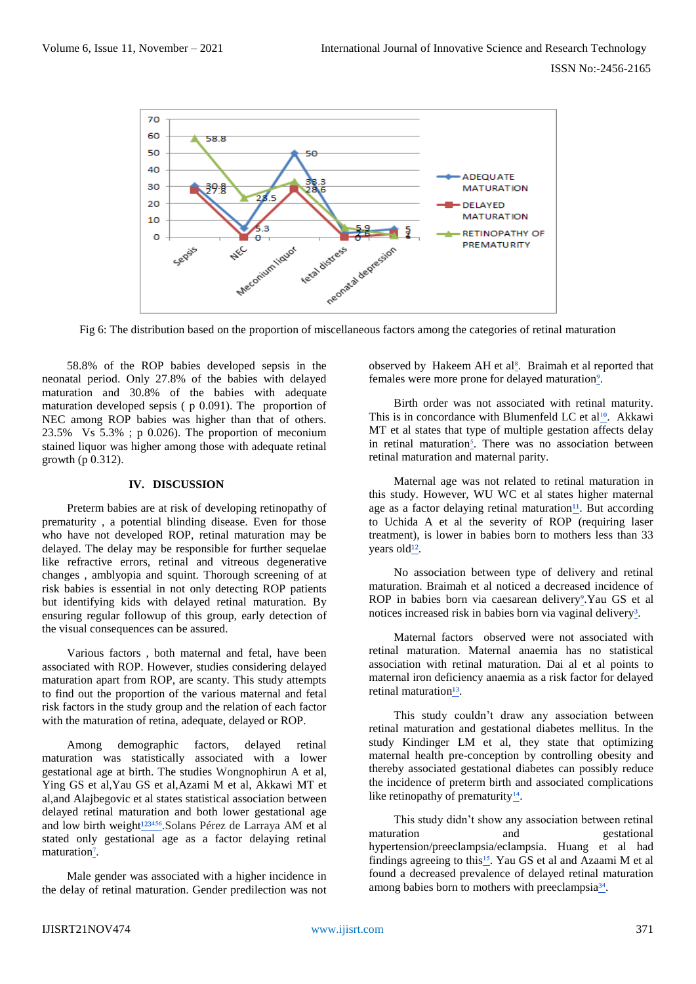

Fig 6: The distribution based on the proportion of miscellaneous factors among the categories of retinal maturation

58.8% of the ROP babies developed sepsis in the neonatal period. Only 27.8% of the babies with delayed maturation and 30.8% of the babies with adequate maturation developed sepsis ( p 0.091). The proportion of NEC among ROP babies was higher than that of others. 23.5% Vs 5.3% ; p 0.026). The proportion of meconium stained liquor was higher among those with adequate retinal growth (p 0.312).

### **IV. DISCUSSION**

Preterm babies are at risk of developing retinopathy of prematurity , a potential blinding disease. Even for those who have not developed ROP, retinal maturation may be delayed. The delay may be responsible for further sequelae like refractive errors, retinal and vitreous degenerative changes , amblyopia and squint. Thorough screening of at risk babies is essential in not only detecting ROP patients but identifying kids with delayed retinal maturation. By ensuring regular followup of this group, early detection of the visual consequences can be assured.

Various factors , both maternal and fetal, have been associated with ROP. However, studies considering delayed maturation apart from ROP, are scanty. This study attempts to find out the proportion of the various maternal and fetal risk factors in the study group and the relation of each factor with the maturation of retina, adequate, delayed or ROP.

Among demographic factors, delayed retinal maturation was statistically associated with a lower gestational age at birth. The studies Wongnophirun A et al, Ying GS et al,Yau GS et al,Azami M et al, Akkawi MT et al,and Alajbegovic et al states statistical association between delayed retinal maturation and both lower gestational age and low birth weight<sup>123456</sup>. Solans Pérez de Larraya AM et al stated only gestational age as a factor delaying retinal maturation<sup>7</sup>.

Male gender was associated with a higher incidence in the delay of retinal maturation. Gender predilection was not observed by Hakeem AH et al<sup>8</sup>. Braimah et al reported that females were more prone for delayed maturation<sup>9</sup>.

Birth order was not associated with retinal maturity. This is in concordance with Blumenfeld LC et al<sup>10</sup>. Akkawi MT et al states that type of multiple gestation affects delay in retinal maturation<sup>5</sup>. There was no association between retinal maturation and maternal parity.

Maternal age was not related to retinal maturation in this study. However, WU WC et al states higher maternal age as a factor delaying retinal maturation $\mathbf{u}$ . But according to Uchida A et al the severity of ROP (requiring laser treatment), is lower in babies born to mothers less than 33 vears old<sup>12</sup>.

No association between type of delivery and retinal maturation. Braimah et al noticed a decreased incidence of ROP in babies born via caesarean delivery<sup>9</sup>. Yau GS et al notices increased risk in babies born via vaginal delivery<sup>3</sup>.

Maternal factors observed were not associated with retinal maturation. Maternal anaemia has no statistical association with retinal maturation. Dai al et al points to maternal iron deficiency anaemia as a risk factor for delayed retinal maturation<sup>13</sup>.

This study couldn't draw any association between retinal maturation and gestational diabetes mellitus. In the study Kindinger LM et al, they state that optimizing maternal health pre-conception by controlling obesity and thereby associated gestational diabetes can possibly reduce the incidence of preterm birth and associated complications like retinopathy of prematurity $\frac{14}{1}$ .

This study didn't show any association between retinal maturation and gestational hypertension/preeclampsia/eclampsia. Huang et al had findings agreeing to this<sup>15</sup>. Yau GS et al and Azaami M et al found a decreased prevalence of delayed retinal maturation among babies born to mothers with preeclampsia<sup>34</sup>.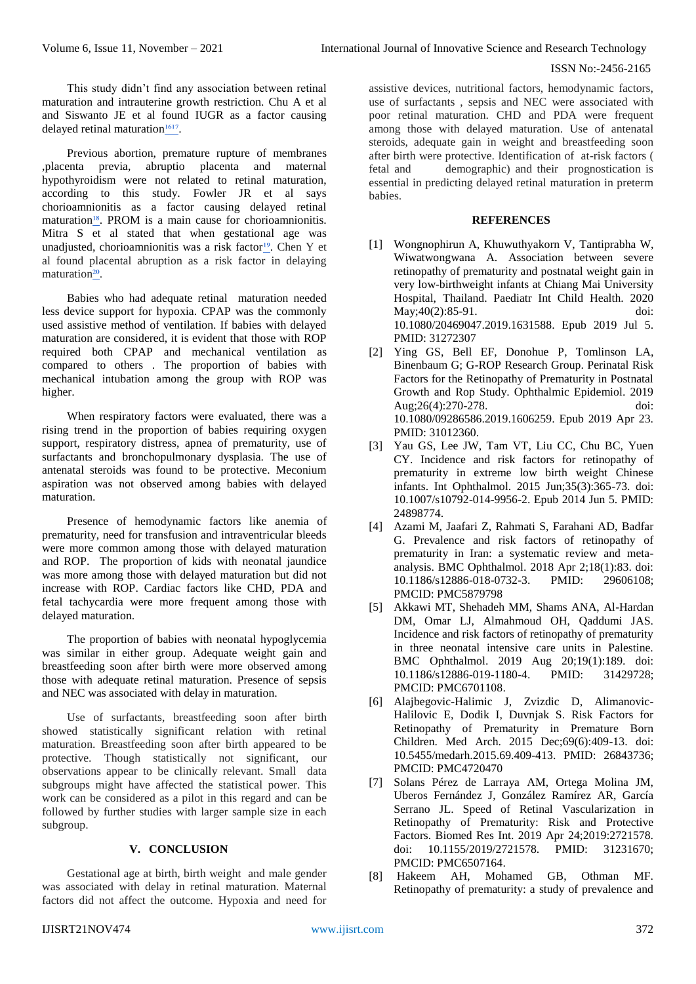This study didn't find any association between retinal maturation and intrauterine growth restriction. Chu A et al and Siswanto JE et al found IUGR as a factor causing delayed retinal maturation $1617$ .

Previous abortion, premature rupture of membranes ,placenta previa, abruptio placenta and maternal hypothyroidism were not related to retinal maturation, according to this study. Fowler JR et al says chorioamnionitis as a factor causing delayed retinal maturation<sup>18</sup>. PROM is a main cause for chorioamnionitis. Mitra S et al stated that when gestational age was unadjusted, chorioamnionitis was a risk factor<sup>19</sup>. Chen Y et al found placental abruption as a risk factor in delaying maturation<sup>20</sup>.

Babies who had adequate retinal maturation needed less device support for hypoxia. CPAP was the commonly used assistive method of ventilation. If babies with delayed maturation are considered, it is evident that those with ROP required both CPAP and mechanical ventilation as compared to others . The proportion of babies with mechanical intubation among the group with ROP was higher.

When respiratory factors were evaluated, there was a rising trend in the proportion of babies requiring oxygen support, respiratory distress, apnea of prematurity, use of surfactants and bronchopulmonary dysplasia. The use of antenatal steroids was found to be protective. Meconium aspiration was not observed among babies with delayed maturation.

Presence of hemodynamic factors like anemia of prematurity, need for transfusion and intraventricular bleeds were more common among those with delayed maturation and ROP. The proportion of kids with neonatal jaundice was more among those with delayed maturation but did not increase with ROP. Cardiac factors like CHD, PDA and fetal tachycardia were more frequent among those with delayed maturation.

The proportion of babies with neonatal hypoglycemia was similar in either group. Adequate weight gain and breastfeeding soon after birth were more observed among those with adequate retinal maturation. Presence of sepsis and NEC was associated with delay in maturation.

Use of surfactants, breastfeeding soon after birth showed statistically significant relation with retinal maturation. Breastfeeding soon after birth appeared to be protective. Though statistically not significant, our observations appear to be clinically relevant. Small data subgroups might have affected the statistical power. This work can be considered as a pilot in this regard and can be followed by further studies with larger sample size in each subgroup.

## **V. CONCLUSION**

Gestational age at birth, birth weight and male gender was associated with delay in retinal maturation. Maternal factors did not affect the outcome. Hypoxia and need for assistive devices, nutritional factors, hemodynamic factors, use of surfactants , sepsis and NEC were associated with poor retinal maturation. CHD and PDA were frequent among those with delayed maturation. Use of antenatal steroids, adequate gain in weight and breastfeeding soon after birth were protective. Identification of at-risk factors ( fetal and demographic) and their prognostication is essential in predicting delayed retinal maturation in preterm babies.

## **REFERENCES**

- [1] [Wongnophirun A, Khuwuthyakorn V, Tantiprabha](https://pubmed.ncbi.nlm.nih.gov/31272307/) [W,](https://pubmed.ncbi.nlm.nih.gov/31272307/)  [Wiwatwongwana A. Association between severe](https://pubmed.ncbi.nlm.nih.gov/31272307/)  [retinopathy of prematurity and postnatal weight gain in](https://pubmed.ncbi.nlm.nih.gov/31272307/)  [very low-birthweight infants at Chiang Mai University](https://pubmed.ncbi.nlm.nih.gov/31272307/)  [Hospital, Thailand. Paediatr Int Child Health. 2020](https://pubmed.ncbi.nlm.nih.gov/31272307/)  [May;40\(2\):85-91. doi:](https://pubmed.ncbi.nlm.nih.gov/31272307/)  [10.1080/20469047.2019.1631588. Epub 2019 Jul 5.](https://pubmed.ncbi.nlm.nih.gov/31272307/)  [PMID: 31272307](https://pubmed.ncbi.nlm.nih.gov/31272307/)
- [2] [Ying GS, Bell EF, Donohue](https://pubmed.ncbi.nlm.nih.gov/31012360/) P, Tomlinson LA, [Binenbaum G; G-ROP Research Group. Perinatal Risk](https://pubmed.ncbi.nlm.nih.gov/31012360/)  [Factors for the Retinopathy of Prematurity in Postnatal](https://pubmed.ncbi.nlm.nih.gov/31012360/)  [Growth and Rop Study. Ophthalmic Epidemiol. 2019](https://pubmed.ncbi.nlm.nih.gov/31012360/)  [Aug;26\(4\):270-278. doi:](https://pubmed.ncbi.nlm.nih.gov/31012360/)  [10.1080/09286586.2019.1606259. Epub 2019 Apr 23.](https://pubmed.ncbi.nlm.nih.gov/31012360/)  [PMID: 31012360.](https://pubmed.ncbi.nlm.nih.gov/31012360/)
- [3] [Yau GS, Lee JW, Tam VT, Liu CC, Chu BC, Yuen](https://pubmed.ncbi.nlm.nih.gov/24898774/)  [CY. Incidence and risk factors for retinopathy of](https://pubmed.ncbi.nlm.nih.gov/24898774/)  [prematurity in extreme low birth weight Chinese](https://pubmed.ncbi.nlm.nih.gov/24898774/)  [infants. Int Ophthalmol. 2015 Jun;35\(3\):365-73. doi:](https://pubmed.ncbi.nlm.nih.gov/24898774/)  [10.1007/s10792-014-9956-2. Epub 2014 Jun 5. PMID:](https://pubmed.ncbi.nlm.nih.gov/24898774/)  [24898774.](https://pubmed.ncbi.nlm.nih.gov/24898774/)
- [4] [Azami M, Jaafari Z, Rahmati S, Farahani AD, Badfar](https://pubmed.ncbi.nlm.nih.gov/29606108/)  [G. Prevalence and risk factors of retinopathy of](https://pubmed.ncbi.nlm.nih.gov/29606108/)  [prematurity in Iran: a systematic review and meta](https://pubmed.ncbi.nlm.nih.gov/29606108/)[analysis. BMC Ophthalmol. 2018 Apr 2;18\(1\):83. doi:](https://pubmed.ncbi.nlm.nih.gov/29606108/)  [10.1186/s12886-018-0732-3. PMID: 29606108;](https://pubmed.ncbi.nlm.nih.gov/29606108/)  [PMCID: PMC5879798](https://pubmed.ncbi.nlm.nih.gov/29606108/)
- [5] [Akkawi MT, Shehadeh MM, Shams ANA, Al-Hardan](https://pubmed.ncbi.nlm.nih.gov/31429728/)  [DM, Omar LJ, Almahmoud OH, Qaddumi JAS.](https://pubmed.ncbi.nlm.nih.gov/31429728/)  [Incidence and risk factors of retinopathy of prematurity](https://pubmed.ncbi.nlm.nih.gov/31429728/)  [in three neonatal intensive care units in Palestine.](https://pubmed.ncbi.nlm.nih.gov/31429728/)  [BMC Ophthalmol. 2019 Aug 20;19\(1\):189. doi:](https://pubmed.ncbi.nlm.nih.gov/31429728/)  [10.1186/s12886-019-1180-4. PMID: 31429728;](https://pubmed.ncbi.nlm.nih.gov/31429728/)  [PMCID: PMC6701108.](https://pubmed.ncbi.nlm.nih.gov/31429728/)
- [6] [Alajbegovic-Halimic J, Zvizdic D, Alimanovic-](https://pubmed.ncbi.nlm.nih.gov/26843736/)[Halilovic E, Dodik I, Duvnjak S. Risk Factors for](https://pubmed.ncbi.nlm.nih.gov/26843736/)  [Retinopathy of Prematurity in Premature Born](https://pubmed.ncbi.nlm.nih.gov/26843736/)  [Children. Med Arch. 2015 Dec;69\(6\):409-13. doi:](https://pubmed.ncbi.nlm.nih.gov/26843736/)  [10.5455/medarh.2015.69.409-413. PMID: 26843736;](https://pubmed.ncbi.nlm.nih.gov/26843736/)  [PMCID: PMC4720470](https://pubmed.ncbi.nlm.nih.gov/26843736/)
- [7] [Solans Pérez de Larraya AM, Ortega Molina JM,](https://www.ncbi.nlm.nih.gov/pmc/articles/PMC6507164/)  [Uberos Fernández J, González Ramírez AR, García](https://www.ncbi.nlm.nih.gov/pmc/articles/PMC6507164/)  [Serrano JL. Speed of Retinal Vascularization in](https://www.ncbi.nlm.nih.gov/pmc/articles/PMC6507164/)  [Retinopathy of Prematurity: Risk and Protective](https://www.ncbi.nlm.nih.gov/pmc/articles/PMC6507164/)  [Factors. Biomed Res Int. 2019 Apr 24;2019:2721578.](https://www.ncbi.nlm.nih.gov/pmc/articles/PMC6507164/)  [doi: 10.1155/2019/2721578. PMID: 31231670;](https://www.ncbi.nlm.nih.gov/pmc/articles/PMC6507164/)  [PMCID: PMC6507164.](https://www.ncbi.nlm.nih.gov/pmc/articles/PMC6507164/)
- [8] [Hakeem AH, Mohamed GB, Othman MF.](https://pubmed.ncbi.nlm.nih.gov/22837621/)  [Retinopathy of prematurity: a study of prevalence and](https://pubmed.ncbi.nlm.nih.gov/22837621/)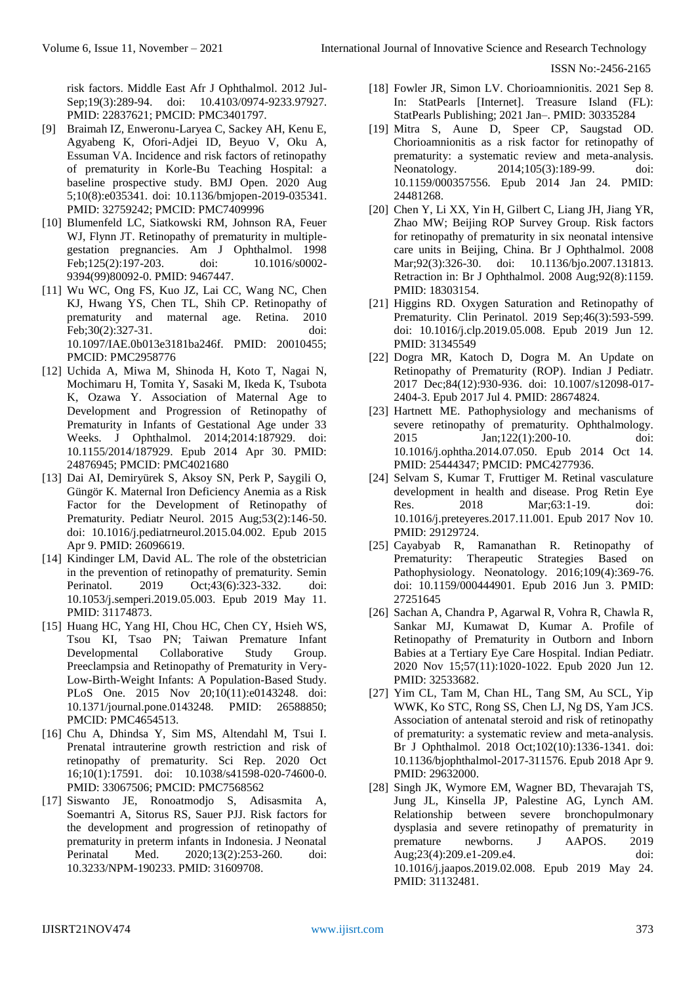[risk factors. Middle East Afr J Ophthalmol. 2012 Jul-](https://pubmed.ncbi.nlm.nih.gov/22837621/)Sep:19(3):289-94. doi: 10.4103/0974-9233.97927. [PMID: 22837621; PMCID: PMC3401797.](https://pubmed.ncbi.nlm.nih.gov/22837621/)

- [9] [Braimah IZ, Enweronu-Laryea C, Sackey AH, Kenu E,](https://pubmed.ncbi.nlm.nih.gov/32759242/)  [Agyabeng K, Ofori-Adjei ID, Beyuo V, Oku A,](https://pubmed.ncbi.nlm.nih.gov/32759242/)  [Essuman VA. Incidence and risk factors of retinopathy](https://pubmed.ncbi.nlm.nih.gov/32759242/)  [of prematurity in Korle-Bu Teaching Hospital: a](https://pubmed.ncbi.nlm.nih.gov/32759242/)  [baseline prospective study. BMJ Open. 2020 Aug](https://pubmed.ncbi.nlm.nih.gov/32759242/)  [5;10\(8\):e035341. doi: 10.1136/bmjopen-2019-035341.](https://pubmed.ncbi.nlm.nih.gov/32759242/)  [PMID: 32759242; PMCID: PMC7409996](https://pubmed.ncbi.nlm.nih.gov/32759242/)
- [10] [Blumenfeld LC, Siatkowski RM, Johnson RA, Feuer](https://pubmed.ncbi.nlm.nih.gov/9467447/)  [WJ, Flynn JT. Retinopathy of prematurity in multiple](https://pubmed.ncbi.nlm.nih.gov/9467447/)[gestation pregnancies. Am J Ophthalmol. 1998](https://pubmed.ncbi.nlm.nih.gov/9467447/)  [Feb;125\(2\):197-203. doi: 10.1016/s0002-](https://pubmed.ncbi.nlm.nih.gov/9467447/) [9394\(99\)80092-0. PMID: 9467447.](https://pubmed.ncbi.nlm.nih.gov/9467447/)
- [11] [Wu WC, Ong FS, Kuo JZ, Lai CC, Wang NC, Chen](https://www.ncbi.nlm.nih.gov/pmc/articles/PMC2958776/)  [KJ, Hwang YS, Chen TL, Shih CP. Retinopathy of](https://www.ncbi.nlm.nih.gov/pmc/articles/PMC2958776/)  [prematurity and maternal age. Retina. 2010](https://www.ncbi.nlm.nih.gov/pmc/articles/PMC2958776/)  [Feb;30\(2\):327-31. doi:](https://www.ncbi.nlm.nih.gov/pmc/articles/PMC2958776/)  [10.1097/IAE.0b013e3181ba246f. PMID: 20010455;](https://www.ncbi.nlm.nih.gov/pmc/articles/PMC2958776/)  [PMCID: PMC2958776](https://www.ncbi.nlm.nih.gov/pmc/articles/PMC2958776/)
- [12] [Uchida A, Miwa M, Shinoda H, Koto T, Nagai N,](https://pubmed.ncbi.nlm.nih.gov/24876945/)  [Mochimaru H, Tomita Y, Sasaki M, Ikeda K, Tsubota](https://pubmed.ncbi.nlm.nih.gov/24876945/)  [K, Ozawa Y. Association of Maternal Age to](https://pubmed.ncbi.nlm.nih.gov/24876945/)  [Development and Progression of Retinopathy of](https://pubmed.ncbi.nlm.nih.gov/24876945/)  [Prematurity in Infants of Gestational Age under 33](https://pubmed.ncbi.nlm.nih.gov/24876945/)  [Weeks. J Ophthalmol. 2014;2014:187929. doi:](https://pubmed.ncbi.nlm.nih.gov/24876945/)  [10.1155/2014/187929. Epub 2014 Apr 30. PMID:](https://pubmed.ncbi.nlm.nih.gov/24876945/)  [24876945; PMCID: PMC4021680](https://pubmed.ncbi.nlm.nih.gov/24876945/)
- [13] [Dai AI, Demiryürek S, Aksoy SN, Perk P, Saygili O,](https://pubmed.ncbi.nlm.nih.gov/26096619/)  [Güngör K. Maternal Iron Deficiency Anemia as a Risk](https://pubmed.ncbi.nlm.nih.gov/26096619/)  [Factor for the Development of Retinopathy of](https://pubmed.ncbi.nlm.nih.gov/26096619/)  [Prematurity. Pediatr Neurol. 2015 Aug;53\(2\):146-50.](https://pubmed.ncbi.nlm.nih.gov/26096619/)  [doi: 10.1016/j.pediatrneurol.2015.04.002. Epub 2015](https://pubmed.ncbi.nlm.nih.gov/26096619/)  [Apr 9. PMID: 26096619.](https://pubmed.ncbi.nlm.nih.gov/26096619/)
- [14] Kindinger LM, David AL. The role of the obstetrician in the [prevention of retinopathy of prematurity. Semin](https://pubmed.ncbi.nlm.nih.gov/31174873/)  [Perinatol. 2019 Oct;43\(6\):323-332. doi:](https://pubmed.ncbi.nlm.nih.gov/31174873/)  [10.1053/j.semperi.2019.05.003. Epub 2019 May 11.](https://pubmed.ncbi.nlm.nih.gov/31174873/)  [PMID: 31174873.](https://pubmed.ncbi.nlm.nih.gov/31174873/)
- [15] [Huang HC, Yang HI, Chou HC, Chen CY, Hsieh WS,](https://pubmed.ncbi.nlm.nih.gov/26588850/)  [Tsou KI, Tsao PN; Taiwan Premature Infant](https://pubmed.ncbi.nlm.nih.gov/26588850/)  [Developmental Collaborative Study Group.](https://pubmed.ncbi.nlm.nih.gov/26588850/)  [Preeclampsia and Retinopathy of Prematurity in Very-](https://pubmed.ncbi.nlm.nih.gov/26588850/)[Low-Birth-Weight Infants: A Population-Based Study.](https://pubmed.ncbi.nlm.nih.gov/26588850/)  [PLoS One. 2015 Nov 20;10\(11\):e0143248. doi:](https://pubmed.ncbi.nlm.nih.gov/26588850/)  [10.1371/journal.pone.0143248. PMID: 26588850;](https://pubmed.ncbi.nlm.nih.gov/26588850/)  [PMCID: PMC4654513.](https://pubmed.ncbi.nlm.nih.gov/26588850/)
- [16] [Chu A, Dhindsa Y, Sim MS, Altendahl M, Tsui I.](https://pubmed.ncbi.nlm.nih.gov/33067506/)  [Prenatal intrauterine growth restriction and risk of](https://pubmed.ncbi.nlm.nih.gov/33067506/)  [retinopathy of prematurity. Sci Rep. 2020 Oct](https://pubmed.ncbi.nlm.nih.gov/33067506/)  [16;10\(1\):17591. doi: 10.1038/s41598-020-74600-0.](https://pubmed.ncbi.nlm.nih.gov/33067506/)  [PMID: 33067506; PMCID: PMC7568562](https://pubmed.ncbi.nlm.nih.gov/33067506/)
- [17] [Siswanto JE, Ronoatmodjo S, Adisasmita A,](https://pubmed.ncbi.nlm.nih.gov/31609708/)  [Soemantri A, Sitorus RS, Sauer PJJ. Risk factors for](https://pubmed.ncbi.nlm.nih.gov/31609708/)  [the development and progression of retinopathy of](https://pubmed.ncbi.nlm.nih.gov/31609708/)  [prematurity in preterm infants in Indonesia. J Neonatal](https://pubmed.ncbi.nlm.nih.gov/31609708/)  [Perinatal Med. 2020;13\(2\):253-260. doi:](https://pubmed.ncbi.nlm.nih.gov/31609708/)  [10.3233/NPM-190233. PMID: 31609708.](https://pubmed.ncbi.nlm.nih.gov/31609708/)
- [18] Fowler JR, Simon LV. Chorioamnionitis. 2021 Sep 8. [In: StatPearls \[Internet\]. Treasure Island \(FL\):](https://pubmed.ncbi.nlm.nih.gov/30335284/)  [StatPearls Publishing; 2021 Jan–. PMID: 30335284](https://pubmed.ncbi.nlm.nih.gov/30335284/)
- [19] [Mitra S, Aune D, Speer CP, Saugstad OD.](https://pubmed.ncbi.nlm.nih.gov/24481268/)  [Chorioamnionitis as a risk factor for retinopathy of](https://pubmed.ncbi.nlm.nih.gov/24481268/)  [prematurity: a systematic review and meta-analysis.](https://pubmed.ncbi.nlm.nih.gov/24481268/)  Neonatology. 2014;105(3):189-99. doi: [10.1159/000357556. Epub 2014 Jan 24. PMID:](https://pubmed.ncbi.nlm.nih.gov/24481268/)  [24481268.](https://pubmed.ncbi.nlm.nih.gov/24481268/)
- [20] Chen Y, Li XX, Yin H, Gilbert C, Liang JH, Jiang YR, [Zhao MW; Beijing ROP Survey Group. Risk factors](https://pubmed.ncbi.nlm.nih.gov/18303154/)  [for retinopathy of prematurity in six neonatal intensive](https://pubmed.ncbi.nlm.nih.gov/18303154/)  [care units in Beijing, China. Br J Ophthalmol. 2008](https://pubmed.ncbi.nlm.nih.gov/18303154/)  Mar; 92(3): 326-30. doi: 10.1136/bjo. 2007. 131813. [Retraction in: Br J Ophthalmol.](https://pubmed.ncbi.nlm.nih.gov/18303154/) 2008 Aug;92(8):1159. [PMID: 18303154.](https://pubmed.ncbi.nlm.nih.gov/18303154/)
- [21] [Higgins RD. Oxygen Saturation and Retinopathy of](https://pubmed.ncbi.nlm.nih.gov/31345549/)  [Prematurity. Clin Perinatol. 2019 Sep;46\(3\):593-599.](https://pubmed.ncbi.nlm.nih.gov/31345549/)  [doi: 10.1016/j.clp.2019.05.008. Epub 2019 Jun 12.](https://pubmed.ncbi.nlm.nih.gov/31345549/)  [PMID: 31345549](https://pubmed.ncbi.nlm.nih.gov/31345549/)
- [22] [Dogra MR, Katoch D, Dogra M. An Update on](https://pubmed.ncbi.nlm.nih.gov/28674824/)  [Retinopathy of Prematurity \(ROP\). Indian J Pediatr.](https://pubmed.ncbi.nlm.nih.gov/28674824/)  [2017 Dec;84\(12\):930-936. doi: 10.1007/s12098-017-](https://pubmed.ncbi.nlm.nih.gov/28674824/) [2404-3. Epub 2017 Jul 4. PMID: 28674824.](https://pubmed.ncbi.nlm.nih.gov/28674824/)
- [23] [Hartnett ME. Pathophysiology and mechanisms of](https://pubmed.ncbi.nlm.nih.gov/25444347/)  [severe retinopathy of prematurity. Ophthalmology.](https://pubmed.ncbi.nlm.nih.gov/25444347/)  [2015 Jan;122\(1\):200-10. doi:](https://pubmed.ncbi.nlm.nih.gov/25444347/)  [10.1016/j.ophtha.2014.07.050. Epub 2014 Oct 14.](https://pubmed.ncbi.nlm.nih.gov/25444347/)  [PMID: 25444347; PMCID: PMC4277936.](https://pubmed.ncbi.nlm.nih.gov/25444347/)
- [24] [Selvam S, Kumar T, Fruttiger M. Retinal vasculature](https://pubmed.ncbi.nlm.nih.gov/29129724/)  [development in health and disease. Prog Retin Eye](https://pubmed.ncbi.nlm.nih.gov/29129724/)  [Res. 2018 Mar;63:1-19. doi:](https://pubmed.ncbi.nlm.nih.gov/29129724/)  [10.1016/j.preteyeres.2017.11.001. Epub 2017 Nov 10.](https://pubmed.ncbi.nlm.nih.gov/29129724/) [PMID: 29129724.](https://pubmed.ncbi.nlm.nih.gov/29129724/)
- [25] [Cayabyab R, Ramanathan R. Retinopathy of](https://pubmed.ncbi.nlm.nih.gov/27251645/)  [Prematurity: Therapeutic Strategies Based on](https://pubmed.ncbi.nlm.nih.gov/27251645/)  [Pathophysiology. Neonatology. 2016;109\(4\):369-76.](https://pubmed.ncbi.nlm.nih.gov/27251645/)  [doi: 10.1159/000444901. Epub 2016 Jun 3. PMID:](https://pubmed.ncbi.nlm.nih.gov/27251645/)  [27251645](https://pubmed.ncbi.nlm.nih.gov/27251645/)
- [26] [Sachan A, Chandra P, Agarwal R, Vohra R, Chawla R,](https://pubmed.ncbi.nlm.nih.gov/32533682/)  [Sankar MJ, Kumawat D, Kumar A. Profile of](https://pubmed.ncbi.nlm.nih.gov/32533682/)  [Retinopathy of Prematurity in Outborn and Inborn](https://pubmed.ncbi.nlm.nih.gov/32533682/)  [Babies at a Tertiary Eye Care Hospital.](https://pubmed.ncbi.nlm.nih.gov/32533682/) Indian Pediatr. [2020 Nov 15;57\(11\):1020-1022. Epub 2020 Jun 12.](https://pubmed.ncbi.nlm.nih.gov/32533682/)  [PMID: 32533682.](https://pubmed.ncbi.nlm.nih.gov/32533682/)
- [27] [Yim CL, Tam M, Chan HL, Tang SM, Au SCL, Yip](https://pubmed.ncbi.nlm.nih.gov/29632000/)  [WWK, Ko STC, Rong SS, Chen LJ, Ng DS, Yam JCS.](https://pubmed.ncbi.nlm.nih.gov/29632000/)  [Association of antenatal steroid and risk of retinopathy](https://pubmed.ncbi.nlm.nih.gov/29632000/)  [of prematurity: a systematic review and meta-analysis.](https://pubmed.ncbi.nlm.nih.gov/29632000/)  [Br J Ophthalmol. 2018 Oct;102\(10\):1336-1341. doi:](https://pubmed.ncbi.nlm.nih.gov/29632000/)  [10.1136/bjophthalmol-2017-311576. Epub 2018 Apr 9.](https://pubmed.ncbi.nlm.nih.gov/29632000/)  [PMID: 29632000.](https://pubmed.ncbi.nlm.nih.gov/29632000/)
- [28] [Singh JK, Wymore EM, Wagner BD, Thevarajah TS,](https://pubmed.ncbi.nlm.nih.gov/31132481/)  [Jung JL, Kinsella JP, Palestine AG, Lynch AM.](https://pubmed.ncbi.nlm.nih.gov/31132481/)  [Relationship between severe bronchopulmonary](https://pubmed.ncbi.nlm.nih.gov/31132481/)  [dysplasia and severe retinopathy of prematurity in](https://pubmed.ncbi.nlm.nih.gov/31132481/)  [premature newborns. J AAPOS. 2019](https://pubmed.ncbi.nlm.nih.gov/31132481/)  [Aug;23\(4\):209.e1-209.e4. doi:](https://pubmed.ncbi.nlm.nih.gov/31132481/)  [10.1016/j.jaapos.2019.02.008. Epub 2019 May 24.](https://pubmed.ncbi.nlm.nih.gov/31132481/)  [PMID: 31132481.](https://pubmed.ncbi.nlm.nih.gov/31132481/)